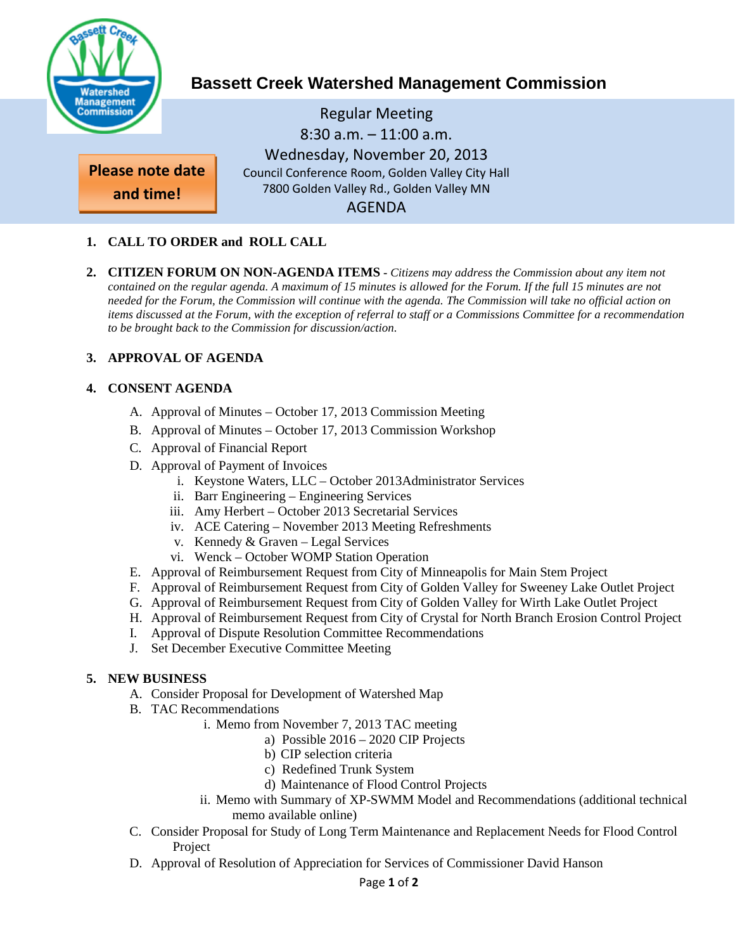

# **Bassett Creek Watershed Management Commission**

Regular Meeting 8:30 a.m. – 11:00 a.m. Wednesday, November 20, 2013 Council Conference Room, Golden Valley City Hall 7800 Golden Valley Rd., Golden Valley MN AGENDA

**and time!**

**Please note date** 

# **1. CALL TO ORDER and ROLL CALL**

**2. CITIZEN FORUM ON NON-AGENDA ITEMS -** *Citizens may address the Commission about any item not contained on the regular agenda. A maximum of 15 minutes is allowed for the Forum. If the full 15 minutes are not needed for the Forum, the Commission will continue with the agenda. The Commission will take no official action on items discussed at the Forum, with the exception of referral to staff or a Commissions Committee for a recommendation to be brought back to the Commission for discussion/action.*

# **3. APPROVAL OF AGENDA**

# **4. CONSENT AGENDA**

- A. Approval of Minutes October 17, 2013 Commission Meeting
- B. Approval of Minutes October 17, 2013 Commission Workshop
- C. Approval of Financial Report
- D. Approval of Payment of Invoices
	- i. Keystone Waters, LLC October 2013Administrator Services
	- ii. Barr Engineering Engineering Services
	- iii. Amy Herbert October 2013 Secretarial Services
	- iv. ACE Catering November 2013 Meeting Refreshments
	- v. Kennedy & Graven Legal Services
	- vi. Wenck October WOMP Station Operation
- E. Approval of Reimbursement Request from City of Minneapolis for Main Stem Project
- F. Approval of Reimbursement Request from City of Golden Valley for Sweeney Lake Outlet Project
- G. Approval of Reimbursement Request from City of Golden Valley for Wirth Lake Outlet Project
- H. Approval of Reimbursement Request from City of Crystal for North Branch Erosion Control Project
- I. Approval of Dispute Resolution Committee Recommendations
- J. Set December Executive Committee Meeting

# **5. NEW BUSINESS**

- A. Consider Proposal for Development of Watershed Map
- B. TAC Recommendations
	- i. Memo from November 7, 2013 TAC meeting
		- a) Possible 2016 2020 CIP Projects
		- b) CIP selection criteria
		- c) Redefined Trunk System
		- d) Maintenance of Flood Control Projects
	- ii. Memo with Summary of XP-SWMM Model and Recommendations (additional technical memo available online)
- C. Consider Proposal for Study of Long Term Maintenance and Replacement Needs for Flood Control Project
- D. Approval of Resolution of Appreciation for Services of Commissioner David Hanson